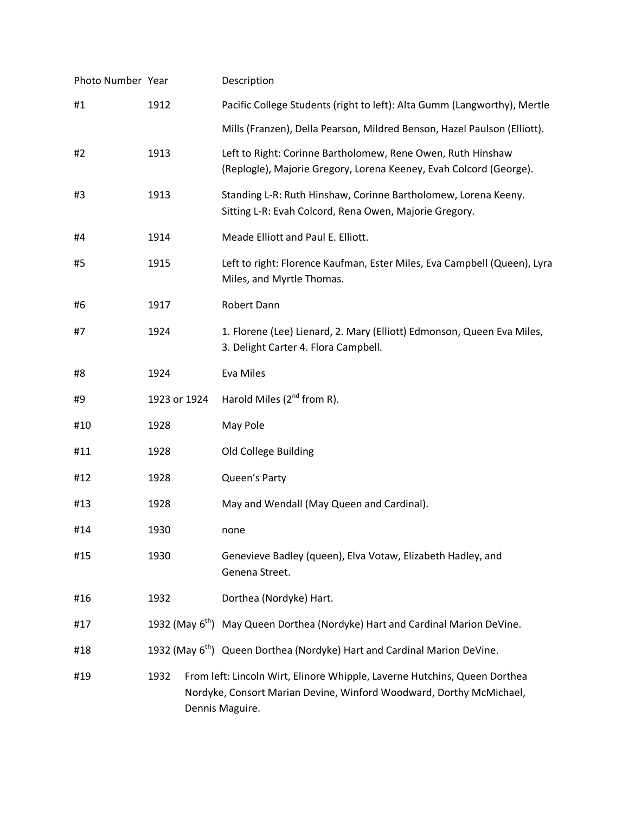| Photo Number Year |              |  | Description                                                                                                                                                         |
|-------------------|--------------|--|---------------------------------------------------------------------------------------------------------------------------------------------------------------------|
| #1                | 1912         |  | Pacific College Students (right to left): Alta Gumm (Langworthy), Mertle                                                                                            |
|                   |              |  | Mills (Franzen), Della Pearson, Mildred Benson, Hazel Paulson (Elliott).                                                                                            |
| #2                | 1913         |  | Left to Right: Corinne Bartholomew, Rene Owen, Ruth Hinshaw<br>(Replogle), Majorie Gregory, Lorena Keeney, Evah Colcord (George).                                   |
| #3                | 1913         |  | Standing L-R: Ruth Hinshaw, Corinne Bartholomew, Lorena Keeny.<br>Sitting L-R: Evah Colcord, Rena Owen, Majorie Gregory.                                            |
| #4                | 1914         |  | Meade Elliott and Paul E. Elliott.                                                                                                                                  |
| #5                | 1915         |  | Left to right: Florence Kaufman, Ester Miles, Eva Campbell (Queen), Lyra<br>Miles, and Myrtle Thomas.                                                               |
| #6                | 1917         |  | Robert Dann                                                                                                                                                         |
| #7                | 1924         |  | 1. Florene (Lee) Lienard, 2. Mary (Elliott) Edmonson, Queen Eva Miles,<br>3. Delight Carter 4. Flora Campbell.                                                      |
| #8                | 1924         |  | Eva Miles                                                                                                                                                           |
| #9                | 1923 or 1924 |  | Harold Miles (2 <sup>nd</sup> from R).                                                                                                                              |
| #10               | 1928         |  | May Pole                                                                                                                                                            |
| #11               | 1928         |  | Old College Building                                                                                                                                                |
| #12               | 1928         |  | Queen's Party                                                                                                                                                       |
| #13               | 1928         |  | May and Wendall (May Queen and Cardinal).                                                                                                                           |
| #14               | 1930         |  | none                                                                                                                                                                |
| #15               | 1930         |  | Genevieve Badley (queen), Elva Votaw, Elizabeth Hadley, and<br>Genena Street.                                                                                       |
| #16               | 1932         |  | Dorthea (Nordyke) Hart.                                                                                                                                             |
| #17               |              |  | 1932 (May 6 <sup>th</sup> ) May Queen Dorthea (Nordyke) Hart and Cardinal Marion DeVine.                                                                            |
| #18               |              |  | 1932 (May 6 <sup>th</sup> ) Queen Dorthea (Nordyke) Hart and Cardinal Marion DeVine.                                                                                |
| #19               | 1932         |  | From left: Lincoln Wirt, Elinore Whipple, Laverne Hutchins, Queen Dorthea<br>Nordyke, Consort Marian Devine, Winford Woodward, Dorthy McMichael,<br>Dennis Maguire. |